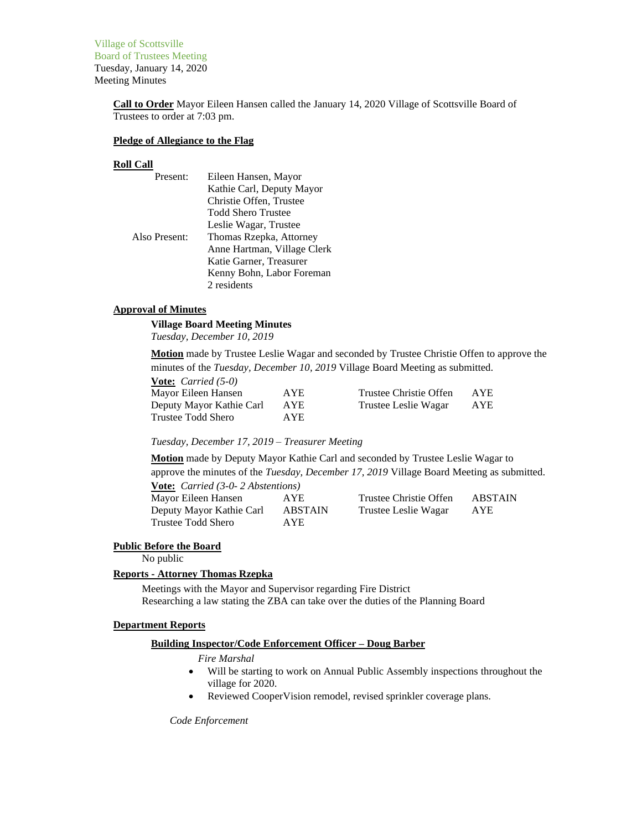Village of Scottsville Board of Trustees Meeting Tuesday, January 14, 2020 Meeting Minutes

> **Call to Order** Mayor Eileen Hansen called the January 14, 2020 Village of Scottsville Board of Trustees to order at 7:03 pm.

#### **Pledge of Allegiance to the Flag**

#### **Roll Call**

| Present:      | Eileen Hansen, Mayor        |
|---------------|-----------------------------|
|               | Kathie Carl, Deputy Mayor   |
|               | Christie Offen, Trustee     |
|               | <b>Todd Shero Trustee</b>   |
|               | Leslie Wagar, Trustee       |
| Also Present: | Thomas Rzepka, Attorney     |
|               | Anne Hartman, Village Clerk |
|               | Katie Garner, Treasurer     |
|               | Kenny Bohn, Labor Foreman   |
|               | 2 residents                 |

#### **Approval of Minutes**

## **Village Board Meeting Minutes**

*Tuesday, December 10, 2019*

**Motion** made by Trustee Leslie Wagar and seconded by Trustee Christie Offen to approve the minutes of the *Tuesday, December 10, 2019* Village Board Meeting as submitted.

| <b><u>Vote:</u></b> <i>Carried</i> $(5-0)$ |            |                        |      |
|--------------------------------------------|------------|------------------------|------|
| Mayor Eileen Hansen                        | AYE.       | Trustee Christie Offen | AYE. |
| Deputy Mayor Kathie Carl                   | <b>AYE</b> | Trustee Leslie Wagar   | AYE  |
| Trustee Todd Shero                         | AYE.       |                        |      |

#### *Tuesday, December 17, 2019 – Treasurer Meeting*

**Motion** made by Deputy Mayor Kathie Carl and seconded by Trustee Leslie Wagar to approve the minutes of the *Tuesday, December 17, 2019* Village Board Meeting as submitted. **Vote:** *Carried (3-0- 2 Abstentions)*

| $\overline{1000}$ Carried to $\overline{2}$ Hostenhous |                |                        |            |
|--------------------------------------------------------|----------------|------------------------|------------|
| Mayor Eileen Hansen                                    | AYE.           | Trustee Christie Offen | ABSTAIN    |
| Deputy Mayor Kathie Carl                               | <b>ABSTAIN</b> | Trustee Leslie Wagar   | <b>AYE</b> |
| Trustee Todd Shero                                     | AYE.           |                        |            |

#### **Public Before the Board**

No public

#### **Reports - Attorney Thomas Rzepka**

Meetings with the Mayor and Supervisor regarding Fire District Researching a law stating the ZBA can take over the duties of the Planning Board

#### **Department Reports**

#### **Building Inspector/Code Enforcement Officer – Doug Barber**

*Fire Marshal*

- Will be starting to work on Annual Public Assembly inspections throughout the village for 2020.
- Reviewed CooperVision remodel, revised sprinkler coverage plans.

*Code Enforcement*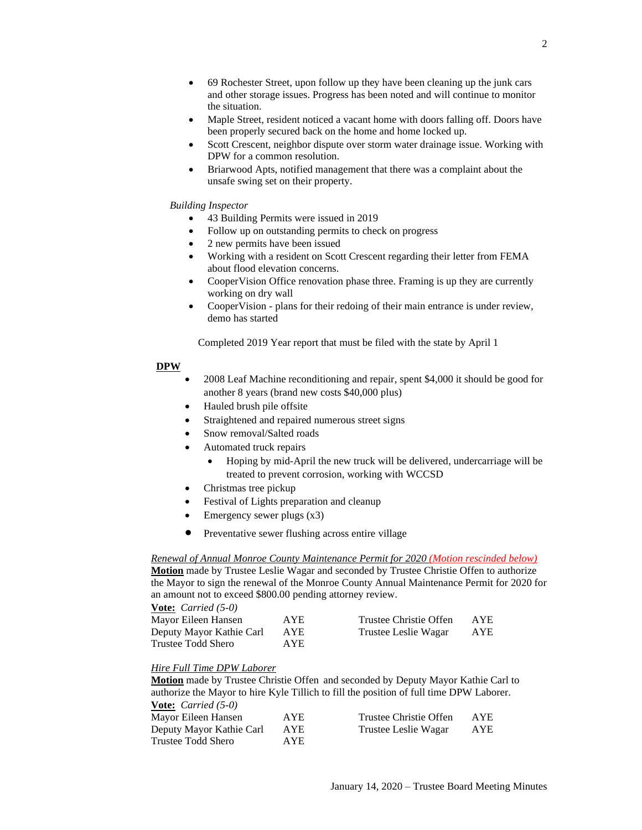- 69 Rochester Street, upon follow up they have been cleaning up the junk cars and other storage issues. Progress has been noted and will continue to monitor the situation.
- Maple Street, resident noticed a vacant home with doors falling off. Doors have been properly secured back on the home and home locked up.
- Scott Crescent, neighbor dispute over storm water drainage issue. Working with DPW for a common resolution.
- Briarwood Apts, notified management that there was a complaint about the unsafe swing set on their property.

#### *Building Inspector*

- 43 Building Permits were issued in 2019
- Follow up on outstanding permits to check on progress
- 2 new permits have been issued
- Working with a resident on Scott Crescent regarding their letter from FEMA about flood elevation concerns.
- CooperVision Office renovation phase three. Framing is up they are currently working on dry wall
- CooperVision plans for their redoing of their main entrance is under review, demo has started

Completed 2019 Year report that must be filed with the state by April 1

#### **DPW**

- 2008 Leaf Machine reconditioning and repair, spent \$4,000 it should be good for another 8 years (brand new costs \$40,000 plus)
- Hauled brush pile offsite
- Straightened and repaired numerous street signs
- Snow removal/Salted roads
- Automated truck repairs
	- Hoping by mid-April the new truck will be delivered, undercarriage will be treated to prevent corrosion, working with WCCSD
- Christmas tree pickup
- Festival of Lights preparation and cleanup
- Emergency sewer plugs (x3)
- Preventative sewer flushing across entire village

#### *Renewal of Annual Monroe County Maintenance Permit for 2020 (Motion rescinded below)*

**Motion** made by Trustee Leslie Wagar and seconded by Trustee Christie Offen to authorize the Mayor to sign the renewal of the Monroe County Annual Maintenance Permit for 2020 for an amount not to exceed \$800.00 pending attorney review.

#### **Vote:** *Carried (5-0)*

| Mayor Eileen Hansen      | AYE.       | Trustee Christie Offen | <b>AYE</b> |
|--------------------------|------------|------------------------|------------|
| Deputy Mayor Kathie Carl | <b>AYE</b> | Trustee Leslie Wagar   | AYE        |
| Trustee Todd Shero       | AYE.       |                        |            |

# *Hire Full Time DPW Laborer*

**Motion** made by Trustee Christie Offen and seconded by Deputy Mayor Kathie Carl to authorize the Mayor to hire Kyle Tillich to fill the position of full time DPW Laborer.

| AYE. | Trustee Christie Offen | AYE. |
|------|------------------------|------|
| AYE  | Trustee Leslie Wagar   | AYE  |
| AYE. |                        |      |
|      |                        |      |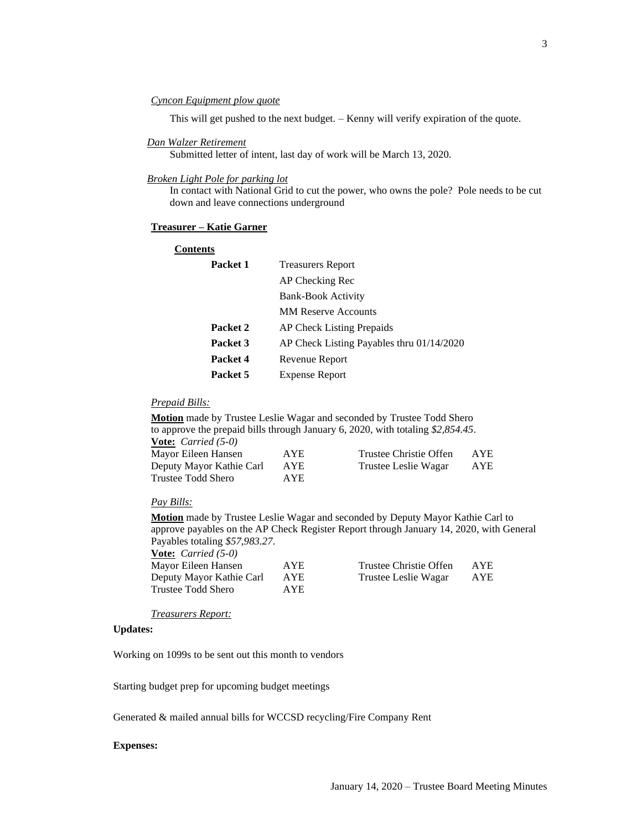#### *Cyncon Equipment plow quote*

This will get pushed to the next budget. – Kenny will verify expiration of the quote.

#### *Dan Walzer Retirement*

Submitted letter of intent, last day of work will be March 13, 2020.

#### *Broken Light Pole for parking lot*

In contact with National Grid to cut the power, who owns the pole? Pole needs to be cut down and leave connections underground

#### **Treasurer – Katie Garner**

| <b>Contents</b> |                                           |
|-----------------|-------------------------------------------|
| Packet 1        | <b>Treasurers Report</b>                  |
|                 | AP Checking Rec                           |
|                 | <b>Bank-Book Activity</b>                 |
|                 | <b>MM Reserve Accounts</b>                |
| Packet 2        | AP Check Listing Prepaids                 |
| Packet 3        | AP Check Listing Payables thru 01/14/2020 |
| Packet 4        | Revenue Report                            |
| Packet 5        | <b>Expense Report</b>                     |

## *Prepaid Bills:*

**Motion** made by Trustee Leslie Wagar and seconded by Trustee Todd Shero to approve the prepaid bills through January 6, 2020, with totaling *\$2,854.45*. **Vote:** *Carried (5-0)* Mayor Eileen Hansen AYE Trustee Christie Offen AYE Deputy Mayor Kathie Carl AYE Trustee Leslie Wagar AYE Trustee Todd Shero AYE

#### *Pay Bills:*

**Motion** made by Trustee Leslie Wagar and seconded by Deputy Mayor Kathie Carl to approve payables on the AP Check Register Report through January 14, 2020, with General Payables totaling *\$57,983.27*.

| <b>Vote:</b> <i>Carried</i> $(5-0)$ |      |                        |            |
|-------------------------------------|------|------------------------|------------|
| Mayor Eileen Hansen                 | AYE. | Trustee Christie Offen | <b>AYE</b> |
| Deputy Mayor Kathie Carl            | AYE  | Trustee Leslie Wagar   | AYE        |
| Trustee Todd Shero                  | AYE. |                        |            |
|                                     |      |                        |            |

*Treasurers Report:*

#### **Updates:**

Working on 1099s to be sent out this month to vendors

Starting budget prep for upcoming budget meetings

Generated & mailed annual bills for WCCSD recycling/Fire Company Rent

#### **Expenses:**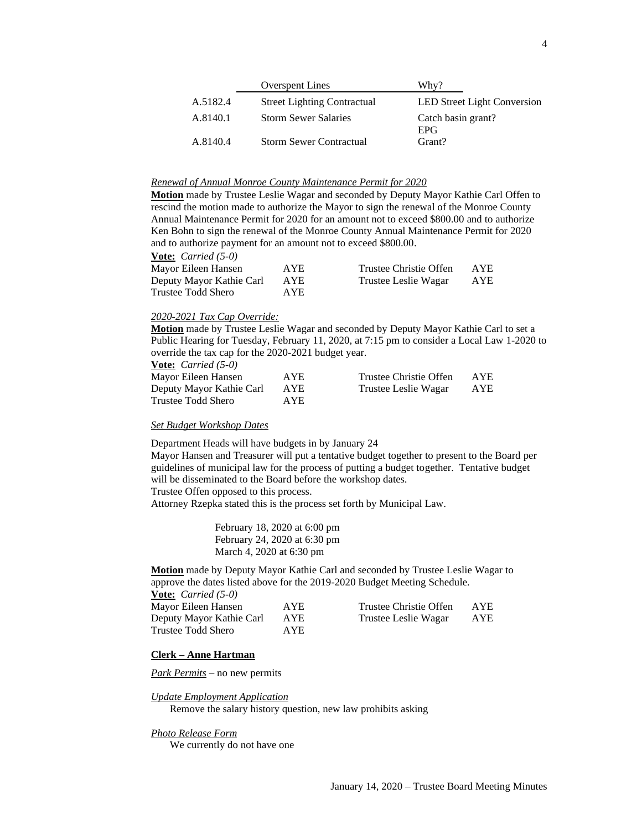|          | <b>Overspent Lines</b>             | Why?                               |
|----------|------------------------------------|------------------------------------|
| A.5182.4 | <b>Street Lighting Contractual</b> | <b>LED Street Light Conversion</b> |
| A.8140.1 | <b>Storm Sewer Salaries</b>        | Catch basin grant?<br><b>EPG</b>   |
| A.8140.4 | <b>Storm Sewer Contractual</b>     | Grant?                             |

#### *Renewal of Annual Monroe County Maintenance Permit for 2020*

**Motion** made by Trustee Leslie Wagar and seconded by Deputy Mayor Kathie Carl Offen to rescind the motion made to authorize the Mayor to sign the renewal of the Monroe County Annual Maintenance Permit for 2020 for an amount not to exceed \$800.00 and to authorize Ken Bohn to sign the renewal of the Monroe County Annual Maintenance Permit for 2020 and to authorize payment for an amount not to exceed \$800.00.

**Vote:** *Carried (5-0)* Mayor Eileen Hansen AYE Trustee Christie Offen AYE Deputy Mayor Kathie Carl AYE Trustee Leslie Wagar AYE Trustee Todd Shero AYE

#### *2020-2021 Tax Cap Override:*

**Motion** made by Trustee Leslie Wagar and seconded by Deputy Mayor Kathie Carl to set a Public Hearing for Tuesday, February 11, 2020, at 7:15 pm to consider a Local Law 1-2020 to override the tax cap for the 2020-2021 budget year.

**Vote:** *Carried (5-0)*

| Mayor Eileen Hansen      | AYE. | Trustee Christie Offen | AYE |
|--------------------------|------|------------------------|-----|
| Deputy Mayor Kathie Carl | AYE  | Trustee Leslie Wagar   | AYE |
| Trustee Todd Shero       | AYE  |                        |     |

#### *Set Budget Workshop Dates*

Department Heads will have budgets in by January 24

Mayor Hansen and Treasurer will put a tentative budget together to present to the Board per guidelines of municipal law for the process of putting a budget together. Tentative budget will be disseminated to the Board before the workshop dates.

Trustee Offen opposed to this process.

Attorney Rzepka stated this is the process set forth by Municipal Law.

February 18, 2020 at 6:00 pm February 24, 2020 at 6:30 pm March 4, 2020 at 6:30 pm

**Motion** made by Deputy Mayor Kathie Carl and seconded by Trustee Leslie Wagar to approve the dates listed above for the 2019-2020 Budget Meeting Schedule.

| <b>Vote:</b> <i>Carried</i> $(5-0)$ |  |
|-------------------------------------|--|
|                                     |  |

| Mayor Eileen Hansen      | AYE        | Trustee Christie Offen | AYE. |
|--------------------------|------------|------------------------|------|
| Deputy Mayor Kathie Carl | <b>AYE</b> | Trustee Leslie Wagar   | AYE  |
| Trustee Todd Shero       | AYE.       |                        |      |

#### **Clerk – Anne Hartman**

*Park Permits* – no new permits

#### *Update Employment Application*

Remove the salary history question, new law prohibits asking

#### *Photo Release Form*

We currently do not have one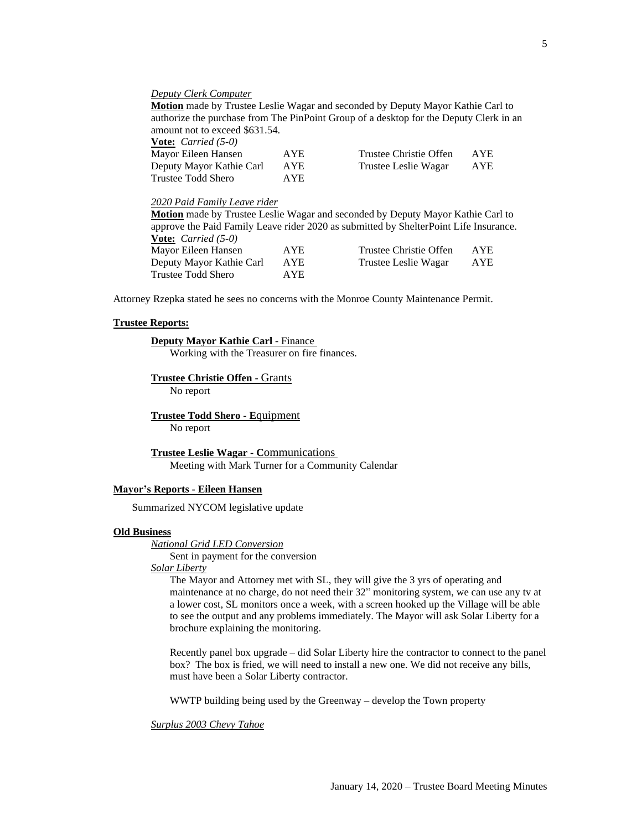#### *Deputy Clerk Computer*

**Motion** made by Trustee Leslie Wagar and seconded by Deputy Mayor Kathie Carl to authorize the purchase from The PinPoint Group of a desktop for the Deputy Clerk in an amount not to exceed \$631.54.

| <b>Vote:</b> <i>Carried</i> $(5-0)$ |            |                        |      |
|-------------------------------------|------------|------------------------|------|
| Mayor Eileen Hansen                 | <b>AYE</b> | Trustee Christie Offen | AYE. |
| Deputy Mayor Kathie Carl            | <b>AYE</b> | Trustee Leslie Wagar   | AYE  |
| Trustee Todd Shero                  | AYE.       |                        |      |

#### *2020 Paid Family Leave rider*

**Motion** made by Trustee Leslie Wagar and seconded by Deputy Mayor Kathie Carl to approve the Paid Family Leave rider 2020 as submitted by ShelterPoint Life Insurance. **Vote:** *Carried (5-0)* Mayor Eileen Hansen AYE Trustee Christie Offen AYE

| Mayor Elleen Hansen      | AIE  | Trustee Unristie Ullen | AIL |
|--------------------------|------|------------------------|-----|
| Deputy Mayor Kathie Carl | AYE  | Trustee Leslie Wagar   | AYE |
| Trustee Todd Shero       | AYE. |                        |     |

Attorney Rzepka stated he sees no concerns with the Monroe County Maintenance Permit.

#### **Trustee Reports:**

#### **Deputy Mayor Kathie Carl** - Finance

Working with the Treasurer on fire finances.

## **Trustee Christie Offen -** Grants

No report

# **Trustee Todd Shero - E**quipment

No report

#### **Trustee Leslie Wagar - C**ommunications Meeting with Mark Turner for a Community Calendar

## **Mayor's Reports - Eileen Hansen**

Summarized NYCOM legislative update

## **Old Business**

*National Grid LED Conversion*

Sent in payment for the conversion

# *Solar Liberty*

The Mayor and Attorney met with SL, they will give the 3 yrs of operating and maintenance at no charge, do not need their 32" monitoring system, we can use any tv at a lower cost, SL monitors once a week, with a screen hooked up the Village will be able to see the output and any problems immediately. The Mayor will ask Solar Liberty for a brochure explaining the monitoring.

Recently panel box upgrade – did Solar Liberty hire the contractor to connect to the panel box? The box is fried, we will need to install a new one. We did not receive any bills, must have been a Solar Liberty contractor.

WWTP building being used by the Greenway – develop the Town property

#### *Surplus 2003 Chevy Tahoe*